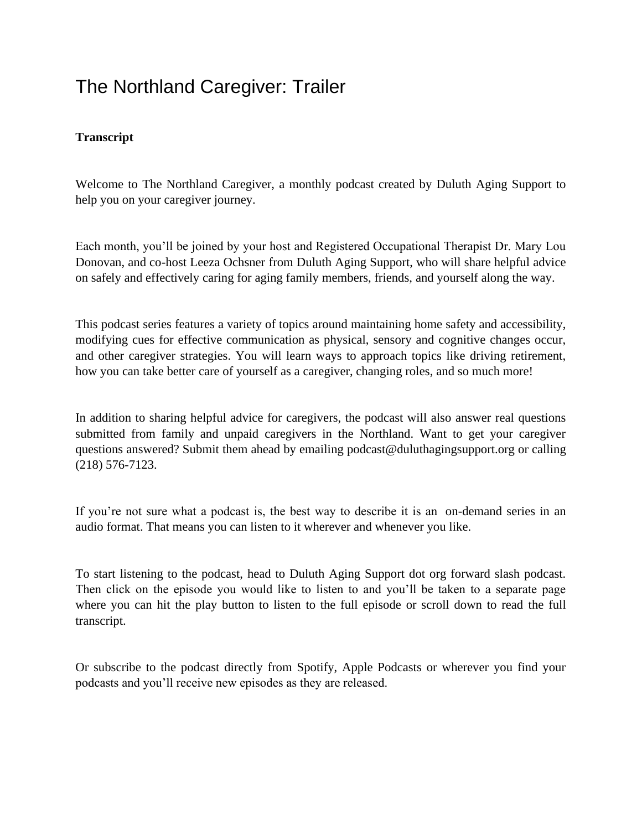## The Northland Caregiver: Trailer

## **Transcript**

Welcome to The Northland Caregiver, a monthly podcast created by Duluth Aging Support to help you on your caregiver journey.

Each month, you'll be joined by your host and Registered Occupational Therapist Dr. Mary Lou Donovan, and co-host Leeza Ochsner from Duluth Aging Support, who will share helpful advice on safely and effectively caring for aging family members, friends, and yourself along the way.

This podcast series features a variety of topics around maintaining home safety and accessibility, modifying cues for effective communication as physical, sensory and cognitive changes occur, and other caregiver strategies. You will learn ways to approach topics like driving retirement, how you can take better care of yourself as a caregiver, changing roles, and so much more!

In addition to sharing helpful advice for caregivers, the podcast will also answer real questions submitted from family and unpaid caregivers in the Northland. Want to get your caregiver questions answered? Submit them ahead by emailing podcast@duluthagingsupport.org or calling (218) 576-7123.

If you're not sure what a podcast is, the best way to describe it is an on-demand series in an audio format. That means you can listen to it wherever and whenever you like.

To start listening to the podcast, head to Duluth Aging Support dot org forward slash podcast. Then click on the episode you would like to listen to and you'll be taken to a separate page where you can hit the play button to listen to the full episode or scroll down to read the full transcript.

Or subscribe to the podcast directly from Spotify, Apple Podcasts or wherever you find your podcasts and you'll receive new episodes as they are released.